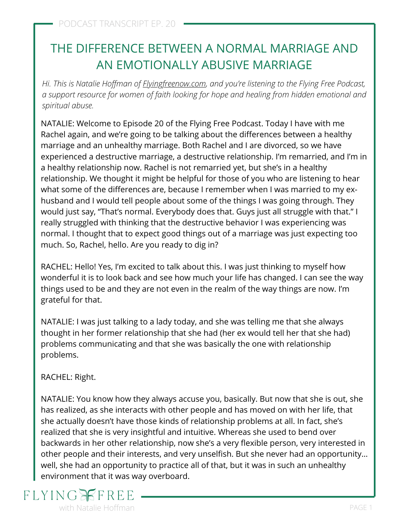# THE DIFFERENCE BETWEEN A NORMAL MARRIAGE AND AN EMOTIONALLY ABUSIVE MARRIAGE

*Hi. This is Natalie Hoffman of [Flyingfreenow.com](http://flyingfreenow.com/), and you're listening to the Flying Free Podcast, a support resource for women of faith looking for hope and healing from hidden emotional and spiritual abuse.*

NATALIE: Welcome to Episode 20 of the Flying Free Podcast. Today I have with me [Rachel again, and we're going to be talking about the differences between a healthy](https://www.flyingfreenow.com/why-partnership-is-the-key-to-a-healthy-marriage-and-what-to-do-if-you-dont-have-one/) marriage and an unhealthy marriage. Both Rachel and I are divorced, so we have experienced a destructive marriage, a destructive relationship. [I'm remarried,](https://www.flyingfreenow.com/9-2/) and I'm in a healthy relationship now. Rachel is not remarried yet, but she's in a healthy relationship. We thought it might be helpful for those of you who are listening to hear what some of the differences are, because I remember when I was married to my exhusband and I would tell people about some of the things I was going through. They would just say, "That's normal. Everybody does that. Guys just all struggle with that." I really struggled with thinking that the destructive behavior I was experiencing was normal. I thought that to expect good things out of a marriage was just expecting too much. So, Rachel, hello. Are you ready to dig in?

RACHEL: Hello! Yes, I'm excited to talk about this. I was just thinking to myself how wonderful it is to look back and see how much your life has changed. I can see the way things used to be and they are not even in the realm of the way things are now. I'm grateful for that.

NATALIE: I was just talking to a lady today, and she was telling me that she always thought in her former relationship that she had (her ex would tell her that she had) [problems communicating and that she was basically the one with relationship](https://www.flyingfreenow.com/109-2/) problems.

RACHEL: Right.

NATALIE: [You know how they always accuse you](https://www.flyingfreenow.com/16-2/), basically. But now that she is out, she has realized, as she interacts with other people and has moved on with her life, that she actually doesn't have those kinds of relationship problems at all. In fact, she's realized that she is very insightful and intuitive. Whereas she used to bend over backwards in her other relationship, now she's a very flexible person, very interested in other people and their interests, and very unselfish. But she never had an opportunity… well, she had an opportunity to practice all of that, but it was in such an unhealthy environment that it was way overboard.

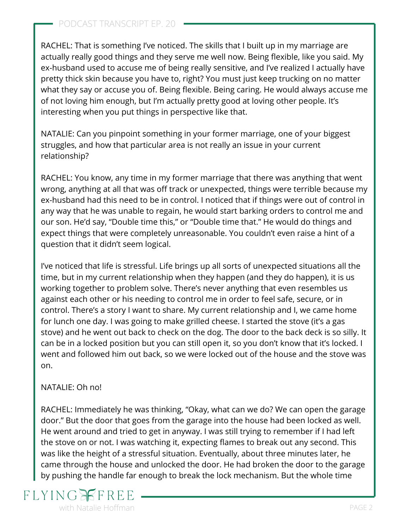RACHEL: That is something I've noticed. The skills that I built up in my marriage are actually really good things and they serve me well now. Being flexible, like you said. My ex-husband used to accuse me of being really sensitive, and I've realized I actually have pretty thick skin because you have to, right? You must just keep trucking on no matter what they say or accuse you of. Being flexible. Being caring. He would always accuse me of not loving him enough, but I'm actually pretty good at loving other people. It's interesting when you put things in perspective like that.

NATALIE: Can you pinpoint something in your former marriage, one of your biggest struggles, and how that particular area is not really an issue in your current relationship?

RACHEL: You know, any time in my former marriage that there was anything that went wrong, anything at all that was off track or unexpected, things were terrible because my ex-husband had this need to be in control. I noticed that if things were out of control in any way that he was unable to regain, he would start barking orders to control me and our son. He'd say, "Double time this," or "Double time that." He would do things and expect things that were completely unreasonable. You couldn't even raise a hint of a question that it didn't seem logical.

I've noticed that life is stressful. Life brings up all sorts of unexpected situations all the time, but in my current relationship when they happen (and they do happen), it is us working together to problem solve. There's never anything that even resembles us against each other or his needing to control me in order to feel safe, secure, or in control. There's a story I want to share. My current relationship and I, we came home for lunch one day. I was going to make grilled cheese. I started the stove (it's a gas stove) and he went out back to check on the dog. The door to the back deck is so silly. It can be in a locked position but you can still open it, so you don't know that it's locked. I went and followed him out back, so we were locked out of the house and the stove was on.

#### NATALIE: Oh no!

RACHEL: Immediately he was thinking, "Okay, what can we do? We can open the garage door." But the door that goes from the garage into the house had been locked as well. He went around and tried to get in anyway. I was still trying to remember if I had left the stove on or not. I was watching it, expecting flames to break out any second. This was like the height of a stressful situation. Eventually, about three minutes later, he came through the house and unlocked the door. He had broken the door to the garage by pushing the handle far enough to break the lock mechanism. But the whole time

# **FLYING** with Natalie Hoffman **PAGE 2** and 2 and 2 and 2 and 2 and 2 and 2 and 2 and 2 and 2 and 2 and 2 and 2 and 2 and 2 and 2 and 2 and 2 and 2 and 2 and 2 and 2 and 2 and 2 and 2 and 2 and 2 and 2 and 2 and 2 and 2 and 2 and 2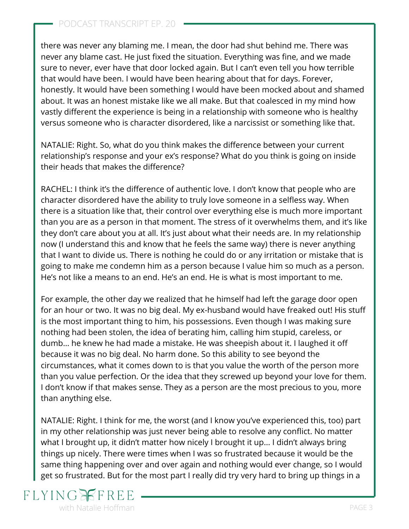#### PODCAST TRANSCRIPT EP. 20

there was never any [blaming me](https://www.flyingfreenow.com/69-2/). I mean, the door had shut behind me. There was never any blame cast. He just fixed the situation. Everything was fine, and we made sure to never, ever have that door locked again. But I can't even tell you how terrible that would have been. I would have been hearing about that for days. Forever, honestly. It would have been something I would have been mocked about and shamed about. It was an honest mistake like we all make. But that coalesced in my mind how vastly different the experience is being in a relationship with someone who is healthy versus someone who is character disordered, like a narcissist or something like that.

NATALIE: Right. So, what do you think makes the difference between your current relationship's response and your ex's response? What do you think is going on inside their heads that makes the difference?

RACHEL: I think it's the difference of authentic love. I don't know that people who are character disordered have the ability to truly love someone in a selfless way. When there is a situation like that, their control over everything else is much more important than you are as a person in that moment. The stress of it overwhelms them, and it's like they don't care about you at all. It's just about what their needs are. In my relationship now (I understand this and know that he feels the same way) there is never anything that I want to divide us. There is nothing he could do or any irritation or mistake that is going to make me condemn him as a person because I value him so much as a person. He's not like a means to an end. He's an end. He is what is most important to me.

For example, the other day we realized that he himself had left the garage door open for an hour or two. It was no big deal. My ex-husband would have freaked out! His stuff is the most important thing to him, his possessions. Even though I was making sure nothing had been stolen, the idea of berating him, calling him stupid, careless, or dumb… he knew he had made a mistake. He was sheepish about it. I laughed it off because it was no big deal. No harm done. So this ability to see beyond the circumstances, what it comes down to is that you value the worth of the person more than you value perfection. Or the idea that they screwed up beyond your love for them. I don't know if that makes sense. They as a person are the most precious to you, more than anything else.

NATALIE: Right. I think for me, the worst (and I know you've experienced this, too) part in my other relationship was just [never being able to resolve any conflict.](https://www.flyingfreenow.com/three-things-differently-leaving-emotionally-abusive-marriage/) No matter what I brought up, it didn't matter how nicely I brought it up... I didn't always bring things up nicely. There were times when I was so frustrated because it would be the same thing happening over and over again and nothing would ever change, so I would get so frustrated. But for the most part I really did try very hard to bring up things in a

## **FLYING** with Natalie Hoffman **PAGE 3**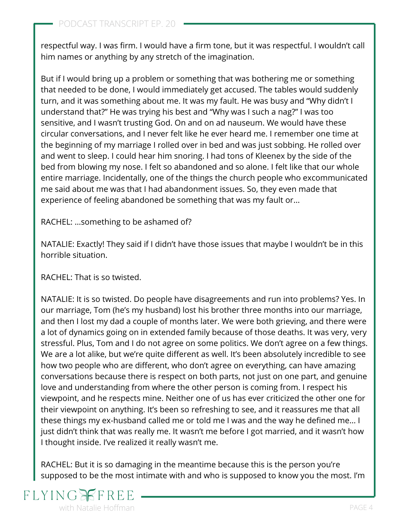respectful way. I was firm. I would have a firm tone, but it was respectful. I wouldn't call him names or anything by any stretch of the imagination.

But if I would bring up a problem or something that was bothering me or something that needed to be done, I would immediately get accused. The tables would suddenly turn, and it was something about me. It was my fault. He was busy and "Why didn't I understand that?" He was trying his best and "Why was I such a nag?" I was too sensitive, and I wasn't trusting God. On and on ad nauseum. We would have these circular conversations, and I never felt like he ever heard me. I remember one time at the beginning of my marriage I rolled over in bed and was just sobbing. He rolled over and went to sleep. I could hear him snoring. I had tons of Kleenex by the side of the bed from blowing my nose. I felt so abandoned and so alone. I felt like that our whole [entire marriage. Incidentally, one of the things the church people who excommunicated](https://www.flyingfreenow.com/bethlehem-baptist-church-is-not-a-safe-church-for-women-in-emotionally-abusive-relationships/) me said about me was that I had abandonment issues. So, they even made that experience of feeling abandoned be something that was my fault or...

RACHEL: …something to be ashamed of?

NATALIE: Exactly! They said if I didn't have those issues that maybe I wouldn't be in this horrible situation.

RACHEL: That is so twisted.

NATALIE: It is so twisted. Do people have disagreements and run into problems? Yes. In our marriage, Tom (he's my husband) lost his brother three months into our marriage, and then I lost my dad a couple of months later. We were both grieving, and there were a lot of dynamics going on in extended family because of those deaths. It was very, very stressful. Plus, Tom and I do not agree on some politics. We don't agree on a few things. We are a lot alike, but we're quite different as well. It's been absolutely incredible to see how two people who are different, who don't agree on everything, can have amazing conversations because there is respect on both parts, not just on one part, and genuine love and understanding from where the other person is coming from. I respect his viewpoint, and he respects mine. Neither one of us has ever criticized the other one for their viewpoint on anything. It's been so refreshing to see, and it reassures me that all these things my ex-husband called me or told me I was and the way he defined me... I just didn't think that was really me. It wasn't me before I got married, and it wasn't how I thought inside. I've realized it really wasn't me.

RACHEL: But it is so damaging in the meantime because this is the person you're supposed to be the most intimate with and who is supposed to know you the most. I'm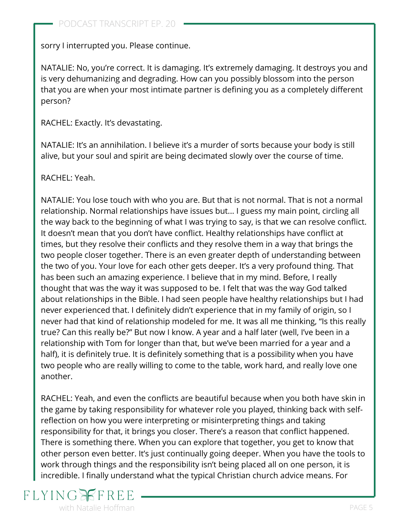sorry I interrupted you. Please continue.

NATALIE: No, you're correct. It is damaging. It's extremely damaging. It destroys you and is very dehumanizing and degrading. How can you possibly blossom into the person [that you are when your most intimate partner is defining you as a completely different](https://www.flyingfreenow.com/holding-hands-with-sara-bareilles-king-of-anything/) person?

RACHEL: Exactly. It's devastating.

NATALIE: It's an annihilation. I believe it's a murder of sorts because your body is still alive, but your soul and spirit are being decimated slowly over the course of time.

RACHEL: Yeah.

NATALIE: You lose touch with who you are. But that is not normal. That is not a normal relationship. Normal relationships have issues but... I guess my main point, circling all the way back to the beginning of what I was trying to say, is that we can resolve conflict. It doesn't mean that you don't have conflict. Healthy relationships have conflict at times, but they resolve their conflicts and they resolve them in a way that brings the two people closer together. There is an even greater depth of understanding between the two of you. Your love for each other gets deeper. It's a very profound thing. That has been such an amazing experience. I believe that in my mind. Before, I really thought that was the way it was supposed to be. I felt that was the way God talked about relationships in the Bible. I had seen people have healthy relationships but I had never experienced that. I definitely didn't experience that in my family of origin, so I never had that kind of relationship modeled for me. It was all me thinking, "Is this really true? Can this really be?" But now I know. A year and a half later (well, I've been in a relationship with Tom for longer than that, but we've been married for a year and a half), it is definitely true. It is definitely something that is a possibility when you have two people who are really willing to come to the table, work hard, and really love one another.

RACHEL: Yeah, and even the conflicts are beautiful because when you both have skin in the game by taking responsibility for whatever role you played, thinking back with selfreflection on how you were interpreting or misinterpreting things and taking responsibility for that, it brings you closer. There's a reason that conflict happened. There is something there. When you can explore that together, you get to know that other person even better. It's just continually going deeper. When you have the tools to work through things and [the responsibility isn't being placed all on one person](https://www.flyingfreenow.com/49-2/), it is incredible. I finally understand what the typical Christian church advice means. For

# **FLYING** with Natalie Hoffman **PAGE 5** and the set of the set of the set of the set of the set of the set of the set of the set of the set of the set of the set of the set of the set of the set of the set of the set of the set of t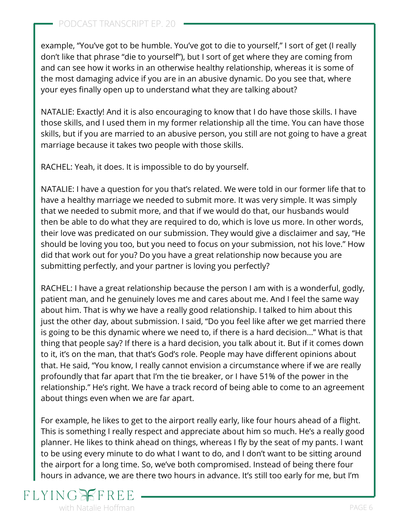example, "You've got to be humble. [You've got to die to yourself,](https://www.flyingfreenow.com/self-denial-destroys-relationships/)" I sort of get (I really don't like that phrase "die to yourself"), but I sort of get where they are coming from and can see how it works in an otherwise healthy relationship, whereas it is some of the most damaging advice if you are in an abusive dynamic. Do you see that, where your eyes finally open up to understand what they are talking about?

NATALIE: Exactly! And it is also encouraging to know that I do have those skills. I have those skills, and I used them in my former relationship all the time. You can have those skills, but if you are married to an abusive person, you still are not going to have a great marriage because it takes two people with those skills.

RACHEL: Yeah, it does. It is impossible to do by yourself.

NATALIE: I have a question for you that's related. We were told in our former life that to have a healthy marriage [we needed to submit more.](https://www.flyingfreenow.com/should-women-submit-no-matter-what-part-one/) It was very simple. It was simply that we needed to submit more, and that if we would do that, our husbands would then be able to do what they are required to do, which is love us more. In other words, their love was predicated on our submission. They would give a disclaimer and say, "He should be loving you too, but you need to focus on your submission, not his love." How did that work out for you? Do you have a great relationship now because you are submitting perfectly, and your partner is loving you perfectly?

RACHEL: I have a great relationship because the person I am with is a wonderful, godly, patient man, and he genuinely loves me and cares about me. And I feel the same way about him. That is why we have a really good relationship. I talked to him about this just the other day, about submission. I said, "Do you feel like after we get married there is going to be this dynamic where we need to, if there is a hard decision…" What is that thing that people say? If there is a hard decision, you talk about it. But if it comes down to it, it's on the man, that that's God's role. People may have different opinions about that. He said, "You know, I really cannot envision a circumstance where if we are really profoundly that far apart that I'm the tie breaker, or I have 51% of the power in the relationship." He's right. We have a track record of being able to come to an agreement about things even when we are far apart.

For example, he likes to get to the airport really early, like four hours ahead of a flight. This is something I really respect and appreciate about him so much. He's a really good planner. He likes to think ahead on things, whereas I fly by the seat of my pants. I want to be using every minute to do what I want to do, and I don't want to be sitting around the airport for a long time. So, we've both compromised. Instead of being there four hours in advance, we are there two hours in advance. It's still too early for me, but I'm

# **FLYING** with Natalie Hoffman **PAGE 6**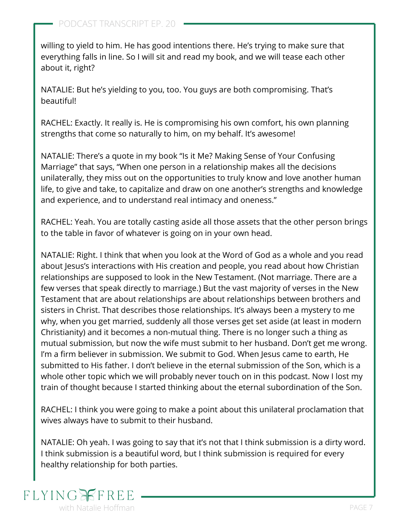willing to yield to him. He has good intentions there. He's trying to make sure that everything falls in line. So I will sit and read my book, and we will tease each other about it, right?

NATALIE: But he's yielding to you, too. You guys are both compromising. That's beautiful!

RACHEL: Exactly. It really is. He is compromising his own comfort, his own planning strengths that come so naturally to him, on my behalf. It's awesome!

[NATALIE: There's a quote in my book "Is it Me? Making Sense of Your Confusing](https://www.flyingfreenow.com/is-it-me/) Marriage" that says, "When one person in a relationship makes all the decisions unilaterally, they miss out on the opportunities to truly know and love another human life, to give and take, to capitalize and draw on one another's strengths and knowledge and experience, and to understand real intimacy and oneness."

RACHEL: Yeah. You are totally casting aside all those assets that the other person brings to the table in favor of whatever is going on in your own head.

NATALIE: Right. I think that when you look at the Word of God as a whole and you read about Jesus's interactions with His creation and people, you read about how Christian relationships are supposed to look in the New Testament. (Not marriage. There are a few verses that speak directly to marriage.) But the vast majority of verses in the New Testament that are about relationships are about relationships between brothers and sisters in Christ. That describes those relationships. It's always been a mystery to me why, when you get married, suddenly all those verses get set aside (at least in modern Christianity) and it becomes a non-mutual thing. There is no longer such a thing as [mutual submission,](https://www.flyingfreenow.com/7-2/) but now the wife must submit to her husband. Don't get me wrong. I'm a firm believer in submission. We submit to God. When Jesus came to earth, He submitted to His father. I don't believe in the eternal submission of the Son, which is a whole other topic which we will probably never touch on in this podcast. Now I lost my train of thought because I started thinking about the eternal subordination of the Son.

RACHEL: I think you were going to make a point about this unilateral proclamation that wives always have to submit to their husband.

NATALIE: Oh yeah. I was going to say that it's not that I think submission is a dirty word. I think submission is a beautiful word, but I think submission is required for every healthy relationship for both parties.

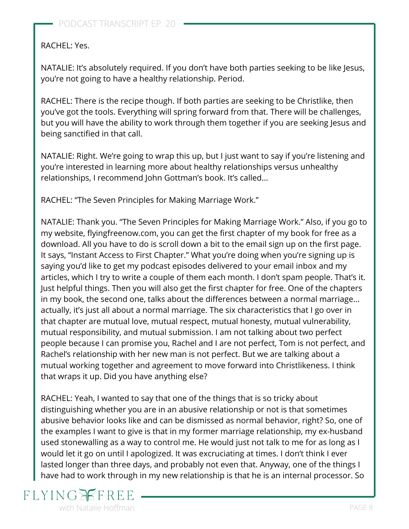#### RACHEL: Yes.

NATALIE: It's absolutely required. If you don't have both parties seeking to be like Jesus, you're not going to have a healthy relationship. Period.

RACHEL: There is the recipe though. If both parties are seeking to be Christlike, then you've got the tools. Everything will spring forward from that. There will be challenges, but you will have the ability to work through them together if you are seeking Jesus and being sanctified in that call.

NATALIE: Right. We're going to wrap this up, but I just want to say if you're listening and you're interested in learning more about healthy relationships versus unhealthy relationships, I recommend John Gottman's book. It's called...

RACHEL: ["The Seven Principles for Making Marriage Work.](https://www.amazon.com/gp/product/0553447718/ref=as_li_tl?ie=UTF8&camp=1789&creative=9325&creativeASIN=0553447718&linkCode=as2&tag=visionwomanh-20&linkId=4140e406c15738ffb6eabb459fcbdaa6)"

NATALIE: Thank you. "The Seven Principles for Making Marriage Work." Also, if you go to my website, [flyingfreenow.com](http://www.flyingfreenow.com/), you can get the first chapter of [my book](https://www.flyingfreenow.com/is-it-me/) for free as a download. All you have to do is scroll down a bit to the email sign up on the first page. It says, "Instant Access to First Chapter." What you're doing when you're signing up is saying you'd like to get my podcast episodes delivered to your email inbox and my articles, which I try to write a couple of them each month. I don't spam people. That's it. Just helpful things. Then you will also get the first chapter for free. One of the chapters in my book, the second one, talks about the differences between a normal marriage... actually, it's just all about a normal marriage. The six characteristics that I go over in that chapter are mutual love, mutual respect, mutual honesty, mutual vulnerability, mutual responsibility, and mutual submission. I am not talking about two perfect people because I can promise you, Rachel and I are not perfect, Tom is not perfect, and Rachel's relationship with her new man is not perfect. But we are talking about a mutual working together and agreement to move forward into Christlikeness. I think that wraps it up. Did you have anything else?

RACHEL: Yeah, I wanted to say that one of the things that is so tricky about distinguishing whether you are in an abusive relationship or not is that sometimes abusive behavior looks like and can be dismissed as normal behavior, right? So, one of the examples I want to give is that in my former marriage relationship, my ex-husband used stonewalling as a way to control me. [He would just not talk to me](https://www.flyingfreenow.com/70/) for as long as I would let it go on until I apologized. It was excruciating at times. I don't think I ever lasted longer than three days, and probably not even that. Anyway, one of the things I have had to work through in my new relationship is that he is an internal processor. So

## **FLYING** with Natalie Hoffman **PAGE 8** and the set of the set of the set of the set of the set of the set of the set of the set of the set of the set of the set of the set of the set of the set of the set of the set of the set of t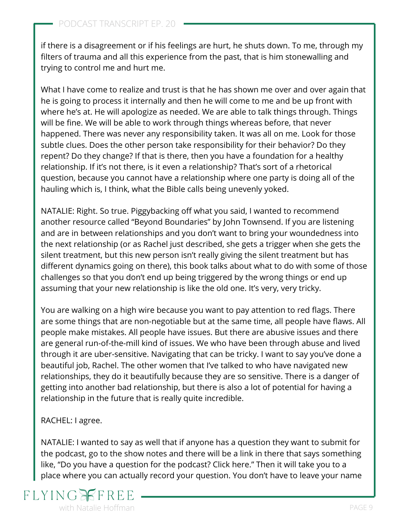if there is a disagreement or if his feelings are hurt, he shuts down. To me, through my filters of trauma and all this experience from the past, that is him stonewalling and trying to control me and hurt me.

What I have come to realize and trust is that he has shown me over and over again that he is going to process it internally and then he will come to me and be up front with where he's at. He will apologize as needed. We are able to talk things through. Things will be fine. We will be able to work through things whereas before, that never happened. There was never any responsibility taken. It was all on me. Look for those subtle clues. Does the other person take responsibility for their behavior? Do they repent? Do they change? If that is there, then you have a foundation for a healthy relationship. If it's not there, is it even a relationship? That's sort of a rhetorical question, because you cannot have a relationship where one party is doing all of the hauling which is, I think, what the Bible calls being unevenly yoked.

NATALIE: Right. So true. Piggybacking off what you said, I wanted to recommend another resource called ["Beyond Boundaries"](https://www.amazon.com/gp/product/0310330769/ref=as_li_tl?ie=UTF8&camp=1789&creative=9325&creativeASIN=0310330769&linkCode=as2&tag=visionwomanh-20&linkId=6144773bd710e0976f2bfb6ac85da338) by John Townsend. If you are listening and are in between relationships and you don't want to bring your woundedness into the next relationship (or as Rachel just described, she gets a trigger when she gets the silent treatment, but this new person isn't really giving the silent treatment but has different dynamics going on there), this book talks about what to do with some of those challenges so that you don't end up being triggered by the wrong things or end up assuming that your new relationship is like the old one. It's very, very tricky.

You are walking on a high wire because you want to pay attention to red flags. There are some things that are non-negotiable but at the same time, all people have flaws. All people make mistakes. All people have issues. But there are abusive issues and there are general run-of-the-mill kind of issues. We who have been through abuse and lived through it are uber-sensitive. Navigating that can be tricky. I want to say you've done a beautiful job, Rachel. The other women that I've talked to who have navigated new relationships, they do it beautifully because they are so sensitive. There is a danger of getting into another bad relationship, but there is also a lot of potential for having a relationship in the future that is really quite incredible.

RACHEL: I agree.

NATALIE: I wanted to say as well that if anyone has a question they want to submit for the podcast, go to the show notes and there will be a link in there that says something like, "Do you have a question for the podcast? Click here." Then it will take you to a place where you can actually record your question. You don't have to leave your name